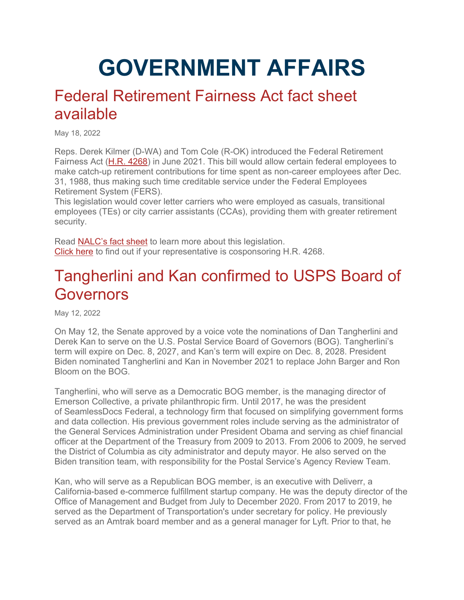# **GOVERNMENT AFFAIRS**

### Federal Retirement Fairness Act fact sheet available

May 18, 2022

Reps. Derek Kilmer (D-WA) and Tom Cole (R-OK) introduced the Federal Retirement Fairness Act [\(H.R. 4268\)](https://www.congress.gov/bill/117th-congress/house-bill/4268?q=%7B%22search%22%3A%5B%22HR+4268%22%5D%7D&s=1&r=1) in June 2021. This bill would allow certain federal employees to make catch-up retirement contributions for time spent as non-career employees after Dec. 31, 1988, thus making such time creditable service under the Federal Employees Retirement System (FERS).

This legislation would cover letter carriers who were employed as casuals, transitional employees (TEs) or city carrier assistants (CCAs), providing them with greater retirement security.

Read [NALC's fact sheet](https://www.nalc.org/government-affairs/body/Federal-Retirement-Fairness-Act-fact-sheet-5-20-22-1.pdf) to learn more about this legislation. [Click here](https://www.congress.gov/bill/117th-congress/house-bill/4268/cosponsors?r=3&s=1) to find out if your representative is cosponsoring H.R. 4268.

# Tangherlini and Kan confirmed to USPS Board of **Governors**

May 12, 2022

On May 12, the Senate approved by a voice vote the nominations of Dan Tangherlini and Derek Kan to serve on the U.S. Postal Service Board of Governors (BOG). Tangherlini's term will expire on Dec. 8, 2027, and Kan's term will expire on Dec. 8, 2028. President Biden nominated Tangherlini and Kan in November 2021 to replace John Barger and Ron Bloom on the BOG.

Tangherlini, who will serve as a Democratic BOG member, is the managing director of Emerson Collective, a private philanthropic firm. Until 2017, he was the president of SeamlessDocs Federal, a technology firm that focused on simplifying government forms and data collection. His previous government roles include serving as the administrator of the General Services Administration under President Obama and serving as chief financial officer at the Department of the Treasury from 2009 to 2013. From 2006 to 2009, he served the District of Columbia as city administrator and deputy mayor. He also served on the Biden transition team, with responsibility for the Postal Service's Agency Review Team.

Kan, who will serve as a Republican BOG member, is an executive with Deliverr, a California-based e-commerce fulfillment startup company. He was the deputy director of the Office of Management and Budget from July to December 2020. From 2017 to 2019, he served as the Department of Transportation's under secretary for policy. He previously served as an Amtrak board member and as a general manager for Lyft. Prior to that, he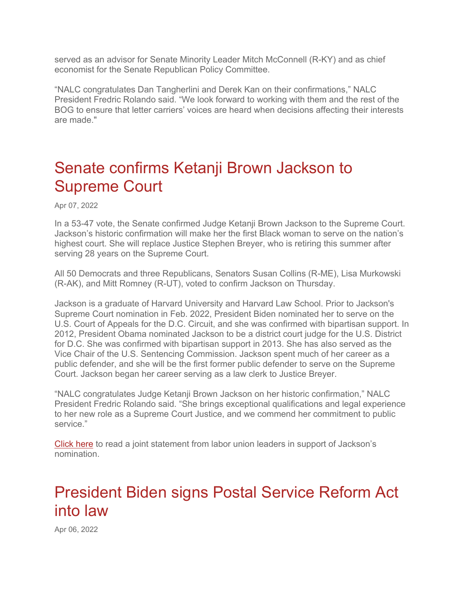served as an advisor for Senate Minority Leader Mitch McConnell (R-KY) and as chief economist for the Senate Republican Policy Committee.

"NALC congratulates Dan Tangherlini and Derek Kan on their confirmations," NALC President Fredric Rolando said. "We look forward to working with them and the rest of the BOG to ensure that letter carriers' voices are heard when decisions affecting their interests are made."

# Senate confirms Ketanji Brown Jackson to Supreme Court

Apr 07, 2022

In a 53-47 vote, the Senate confirmed Judge Ketanji Brown Jackson to the Supreme Court. Jackson's historic confirmation will make her the first Black woman to serve on the nation's highest court. She will replace Justice Stephen Breyer, who is retiring this summer after serving 28 years on the Supreme Court.

All 50 Democrats and three Republicans, Senators Susan Collins (R-ME), Lisa Murkowski (R-AK), and Mitt Romney (R-UT), voted to confirm Jackson on Thursday.

Jackson is a graduate of Harvard University and Harvard Law School. Prior to Jackson's Supreme Court nomination in Feb. 2022, President Biden nominated her to serve on the U.S. Court of Appeals for the D.C. Circuit, and she was confirmed with bipartisan support. In 2012, President Obama nominated Jackson to be a district court judge for the U.S. District for D.C. She was confirmed with bipartisan support in 2013. She has also served as the Vice Chair of the U.S. Sentencing Commission. Jackson spent much of her career as a public defender, and she will be the first former public defender to serve on the Supreme Court. Jackson began her career serving as a law clerk to Justice Breyer.

"NALC congratulates Judge Ketanji Brown Jackson on her historic confirmation," NALC President Fredric Rolando said. "She brings exceptional qualifications and legal experience to her new role as a Supreme Court Justice, and we commend her commitment to public service."

[Click here](https://www.nalc.org/news/nalc-updates/labor-unions-joint-statement-in-support-of-judge-ketanji-brown-jacksons-nomination-to-the-supreme-court) to read a joint statement from labor union leaders in support of Jackson's nomination.

# President Biden signs Postal Service Reform Act into law

Apr 06, 2022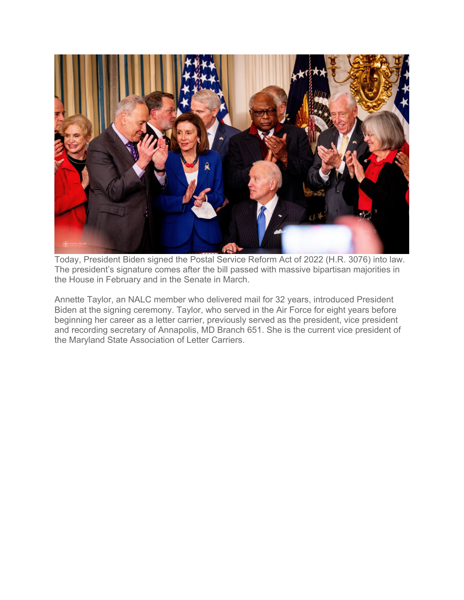

Today, President Biden signed the Postal Service Reform Act of 2022 (H.R. 3076) into law. The president's signature comes after the bill passed with massive bipartisan majorities in the House in February and in the Senate in March.

Annette Taylor, an NALC member who delivered mail for 32 years, introduced President Biden at the signing ceremony. Taylor, who served in the Air Force for eight years before beginning her career as a letter carrier, previously served as the president, vice president and recording secretary of Annapolis, MD Branch 651. She is the current vice president of the Maryland State Association of Letter Carriers.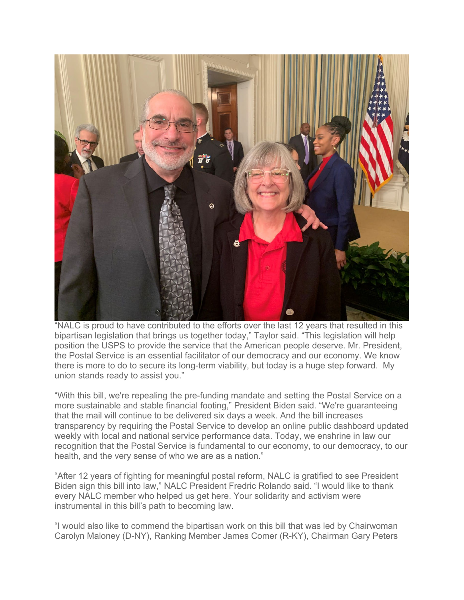

"NALC is proud to have contributed to the efforts over the last 12 years that resulted in this bipartisan legislation that brings us together today," Taylor said. "This legislation will help position the USPS to provide the service that the American people deserve. Mr. President, the Postal Service is an essential facilitator of our democracy and our economy. We know there is more to do to secure its long-term viability, but today is a huge step forward. My union stands ready to assist you."

"With this bill, we're repealing the pre-funding mandate and setting the Postal Service on a more sustainable and stable financial footing," President Biden said. "We're guaranteeing that the mail will continue to be delivered six days a week. And the bill increases transparency by requiring the Postal Service to develop an online public dashboard updated weekly with local and national service performance data. Today, we enshrine in law our recognition that the Postal Service is fundamental to our economy, to our democracy, to our health, and the very sense of who we are as a nation."

"After 12 years of fighting for meaningful postal reform, NALC is gratified to see President Biden sign this bill into law," NALC President Fredric Rolando said. "I would like to thank every NALC member who helped us get here. Your solidarity and activism were instrumental in this bill's path to becoming law.

"I would also like to commend the bipartisan work on this bill that was led by Chairwoman Carolyn Maloney (D-NY), Ranking Member James Comer (R-KY), Chairman Gary Peters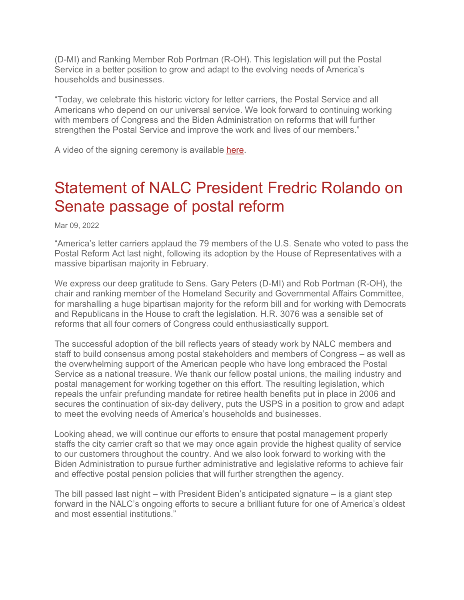(D-MI) and Ranking Member Rob Portman (R-OH). This legislation will put the Postal Service in a better position to grow and adapt to the evolving needs of America's households and businesses.

"Today, we celebrate this historic victory for letter carriers, the Postal Service and all Americans who depend on our universal service. We look forward to continuing working with members of Congress and the Biden Administration on reforms that will further strengthen the Postal Service and improve the work and lives of our members."

A video of the signing ceremony is available [here.](https://youtu.be/2m_j_Loiy7g)

# Statement of NALC President Fredric Rolando on Senate passage of postal reform

Mar 09, 2022

"America's letter carriers applaud the 79 members of the U.S. Senate who voted to pass the Postal Reform Act last night, following its adoption by the House of Representatives with a massive bipartisan majority in February.

We express our deep gratitude to Sens. Gary Peters (D-MI) and Rob Portman (R-OH), the chair and ranking member of the Homeland Security and Governmental Affairs Committee, for marshalling a huge bipartisan majority for the reform bill and for working with Democrats and Republicans in the House to craft the legislation. H.R. 3076 was a sensible set of reforms that all four corners of Congress could enthusiastically support.

The successful adoption of the bill reflects years of steady work by NALC members and staff to build consensus among postal stakeholders and members of Congress – as well as the overwhelming support of the American people who have long embraced the Postal Service as a national treasure. We thank our fellow postal unions, the mailing industry and postal management for working together on this effort. The resulting legislation, which repeals the unfair prefunding mandate for retiree health benefits put in place in 2006 and secures the continuation of six-day delivery, puts the USPS in a position to grow and adapt to meet the evolving needs of America's households and businesses.

Looking ahead, we will continue our efforts to ensure that postal management properly staffs the city carrier craft so that we may once again provide the highest quality of service to our customers throughout the country. And we also look forward to working with the Biden Administration to pursue further administrative and legislative reforms to achieve fair and effective postal pension policies that will further strengthen the agency.

The bill passed last night – with President Biden's anticipated signature – is a giant step forward in the NALC's ongoing efforts to secure a brilliant future for one of America's oldest and most essential institutions."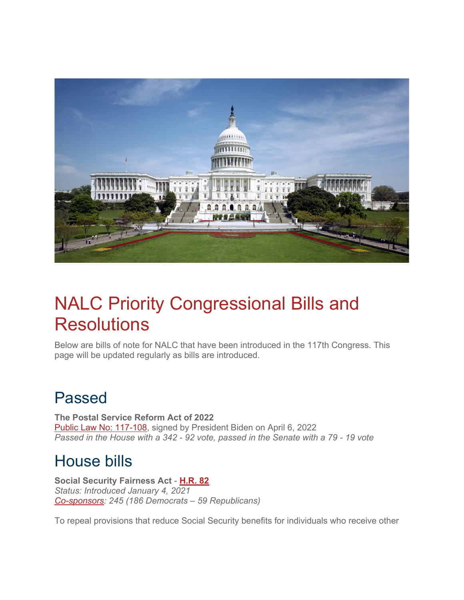

# NALC Priority Congressional Bills and **Resolutions**

Below are bills of note for NALC that have been introduced in the 117th Congress. This page will be updated regularly as bills are introduced.

# Passed

**The Postal Service Reform Act of 2022** [Public Law No: 117-108,](https://www.congress.gov/bill/117th-congress/house-bill/3076/text/pl?overview=closed) signed by President Biden on April 6, 2022 *Passed in the House with a 342 - 92 vote, passed in the Senate with a 79 - 19 vote*

# House bills

**Social Security Fairness Act** - **[H.R.](https://www.congress.gov/bill/117th-congress/house-bill/82?s=1&r=3) 82** *Status: Introduced January 4, 2021 [Co-sponsors:](https://www.congress.gov/bill/117th-congress/house-bill/82/cosponsors?r=3&s=1&searchResultViewType=expanded) 245 (186 Democrats – 59 Republicans)*

To repeal provisions that reduce Social Security benefits for individuals who receive other